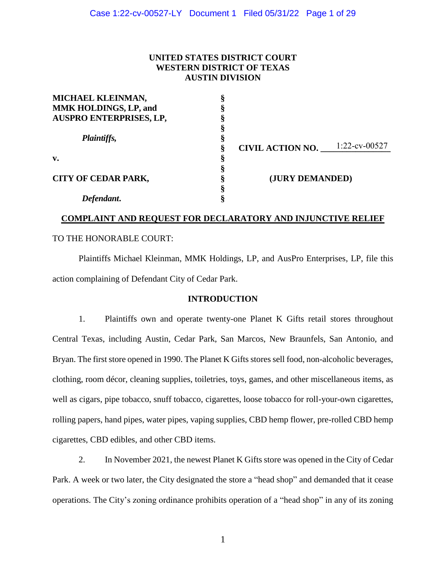## **UNITED STATES DISTRICT COURT WESTERN DISTRICT OF TEXAS AUSTIN DIVISION**

| MICHAEL KLEINMAN,              |                         |                  |  |
|--------------------------------|-------------------------|------------------|--|
| MMK HOLDINGS, LP, and          |                         |                  |  |
| <b>AUSPRO ENTERPRISES, LP,</b> |                         |                  |  |
|                                |                         |                  |  |
| Plaintiffs,                    |                         |                  |  |
|                                | <b>CIVIL ACTION NO.</b> | $1:22$ -cv-00527 |  |
| v.                             |                         |                  |  |
|                                |                         |                  |  |
| <b>CITY OF CEDAR PARK,</b>     | (JURY DEMANDED)         |                  |  |
|                                |                         |                  |  |
| Defendant.                     |                         |                  |  |

# **COMPLAINT AND REQUEST FOR DECLARATORY AND INJUNCTIVE RELIEF**

## TO THE HONORABLE COURT:

Plaintiffs Michael Kleinman, MMK Holdings, LP, and AusPro Enterprises, LP, file this action complaining of Defendant City of Cedar Park.

#### **INTRODUCTION**

1. Plaintiffs own and operate twenty-one Planet K Gifts retail stores throughout Central Texas, including Austin, Cedar Park, San Marcos, New Braunfels, San Antonio, and Bryan. The first store opened in 1990. The Planet K Gifts stores sell food, non-alcoholic beverages, clothing, room décor, cleaning supplies, toiletries, toys, games, and other miscellaneous items, as well as cigars, pipe tobacco, snuff tobacco, cigarettes, loose tobacco for roll-your-own cigarettes, rolling papers, hand pipes, water pipes, vaping supplies, CBD hemp flower, pre-rolled CBD hemp cigarettes, CBD edibles, and other CBD items.

2. In November 2021, the newest Planet K Gifts store was opened in the City of Cedar Park. A week or two later, the City designated the store a "head shop" and demanded that it cease operations. The City's zoning ordinance prohibits operation of a "head shop" in any of its zoning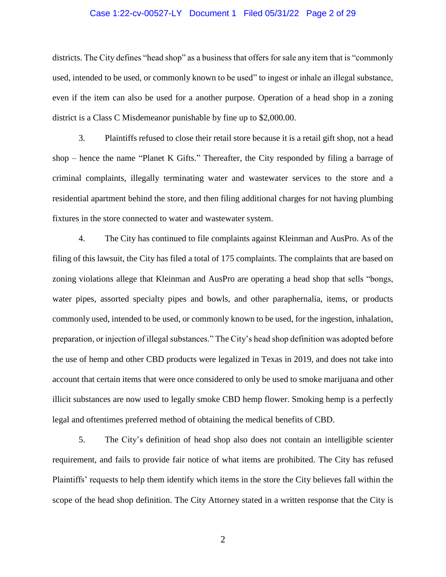#### Case 1:22-cv-00527-LY Document 1 Filed 05/31/22 Page 2 of 29

districts. The City defines "head shop" as a business that offers for sale any item that is "commonly used, intended to be used, or commonly known to be used" to ingest or inhale an illegal substance, even if the item can also be used for a another purpose. Operation of a head shop in a zoning district is a Class C Misdemeanor punishable by fine up to \$2,000.00.

3. Plaintiffs refused to close their retail store because it is a retail gift shop, not a head shop – hence the name "Planet K Gifts." Thereafter, the City responded by filing a barrage of criminal complaints, illegally terminating water and wastewater services to the store and a residential apartment behind the store, and then filing additional charges for not having plumbing fixtures in the store connected to water and wastewater system.

4. The City has continued to file complaints against Kleinman and AusPro. As of the filing of this lawsuit, the City has filed a total of 175 complaints. The complaints that are based on zoning violations allege that Kleinman and AusPro are operating a head shop that sells "bongs, water pipes, assorted specialty pipes and bowls, and other paraphernalia, items, or products commonly used, intended to be used, or commonly known to be used, for the ingestion, inhalation, preparation, or injection of illegal substances." The City's head shop definition was adopted before the use of hemp and other CBD products were legalized in Texas in 2019, and does not take into account that certain items that were once considered to only be used to smoke marijuana and other illicit substances are now used to legally smoke CBD hemp flower. Smoking hemp is a perfectly legal and oftentimes preferred method of obtaining the medical benefits of CBD.

5. The City's definition of head shop also does not contain an intelligible scienter requirement, and fails to provide fair notice of what items are prohibited. The City has refused Plaintiffs' requests to help them identify which items in the store the City believes fall within the scope of the head shop definition. The City Attorney stated in a written response that the City is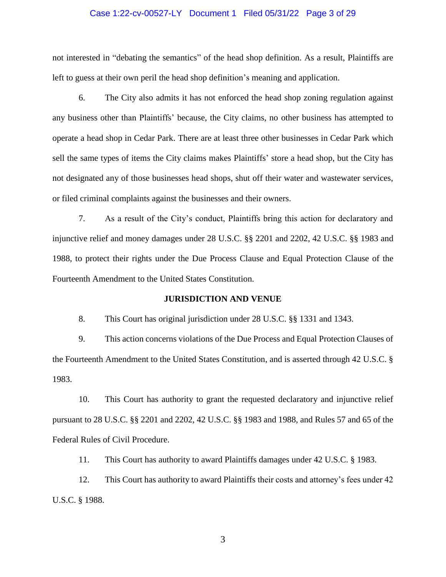#### Case 1:22-cv-00527-LY Document 1 Filed 05/31/22 Page 3 of 29

not interested in "debating the semantics" of the head shop definition. As a result, Plaintiffs are left to guess at their own peril the head shop definition's meaning and application.

6. The City also admits it has not enforced the head shop zoning regulation against any business other than Plaintiffs' because, the City claims, no other business has attempted to operate a head shop in Cedar Park. There are at least three other businesses in Cedar Park which sell the same types of items the City claims makes Plaintiffs' store a head shop, but the City has not designated any of those businesses head shops, shut off their water and wastewater services, or filed criminal complaints against the businesses and their owners.

7. As a result of the City's conduct, Plaintiffs bring this action for declaratory and injunctive relief and money damages under 28 U.S.C. §§ 2201 and 2202, 42 U.S.C. §§ 1983 and 1988, to protect their rights under the Due Process Clause and Equal Protection Clause of the Fourteenth Amendment to the United States Constitution.

#### **JURISDICTION AND VENUE**

8. This Court has original jurisdiction under 28 U.S.C. §§ 1331 and 1343.

9. This action concerns violations of the Due Process and Equal Protection Clauses of the Fourteenth Amendment to the United States Constitution, and is asserted through 42 U.S.C. § 1983.

10. This Court has authority to grant the requested declaratory and injunctive relief pursuant to 28 U.S.C. §§ 2201 and 2202, 42 U.S.C. §§ 1983 and 1988, and Rules 57 and 65 of the Federal Rules of Civil Procedure.

11. This Court has authority to award Plaintiffs damages under 42 U.S.C. § 1983.

12. This Court has authority to award Plaintiffs their costs and attorney's fees under 42 U.S.C. § 1988.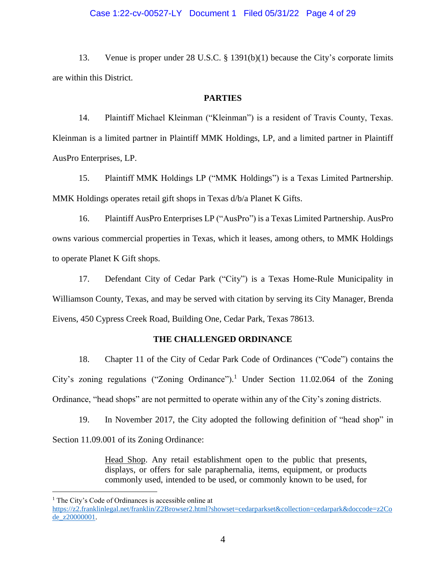#### Case 1:22-cv-00527-LY Document 1 Filed 05/31/22 Page 4 of 29

13. Venue is proper under 28 U.S.C. § 1391(b)(1) because the City's corporate limits are within this District.

#### **PARTIES**

14. Plaintiff Michael Kleinman ("Kleinman") is a resident of Travis County, Texas. Kleinman is a limited partner in Plaintiff MMK Holdings, LP, and a limited partner in Plaintiff AusPro Enterprises, LP.

15. Plaintiff MMK Holdings LP ("MMK Holdings") is a Texas Limited Partnership. MMK Holdings operates retail gift shops in Texas d/b/a Planet K Gifts.

16. Plaintiff AusPro Enterprises LP ("AusPro") is a Texas Limited Partnership. AusPro owns various commercial properties in Texas, which it leases, among others, to MMK Holdings to operate Planet K Gift shops.

17. Defendant City of Cedar Park ("City") is a Texas Home-Rule Municipality in Williamson County, Texas, and may be served with citation by serving its City Manager, Brenda Eivens, 450 Cypress Creek Road, Building One, Cedar Park, Texas 78613.

#### **THE CHALLENGED ORDINANCE**

18. Chapter 11 of the City of Cedar Park Code of Ordinances ("Code") contains the City's zoning regulations ("Zoning Ordinance"). <sup>1</sup> Under Section 11.02.064 of the Zoning Ordinance, "head shops" are not permitted to operate within any of the City's zoning districts.

19. In November 2017, the City adopted the following definition of "head shop" in

Section 11.09.001 of its Zoning Ordinance:

Head Shop. Any retail establishment open to the public that presents, displays, or offers for sale paraphernalia, items, equipment, or products commonly used, intended to be used, or commonly known to be used, for

 $\overline{a}$ 

<sup>&</sup>lt;sup>1</sup> The City's Code of Ordinances is accessible online at

[https://z2.franklinlegal.net/franklin/Z2Browser2.html?showset=cedarparkset&collection=cedarpark&doccode=z2Co](https://z2.franklinlegal.net/franklin/Z2Browser2.html?showset=cedarparkset&collection=cedarpark&doccode=z2Code_z20000001) [de\\_z20000001.](https://z2.franklinlegal.net/franklin/Z2Browser2.html?showset=cedarparkset&collection=cedarpark&doccode=z2Code_z20000001)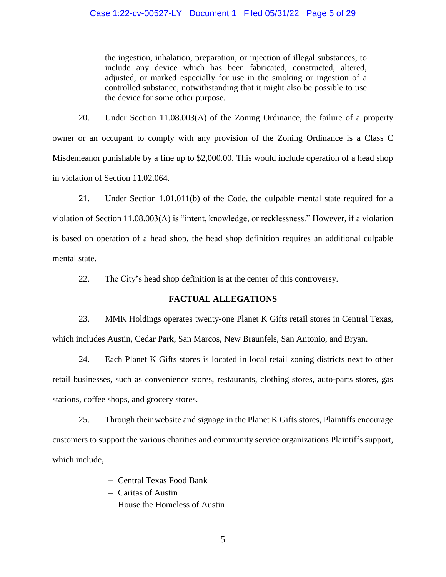#### Case 1:22-cv-00527-LY Document 1 Filed 05/31/22 Page 5 of 29

the ingestion, inhalation, preparation, or injection of illegal substances, to include any device which has been fabricated, constructed, altered, adjusted, or marked especially for use in the smoking or ingestion of a controlled substance, notwithstanding that it might also be possible to use the device for some other purpose.

20. Under Section 11.08.003(A) of the Zoning Ordinance, the failure of a property owner or an occupant to comply with any provision of the Zoning Ordinance is a Class C Misdemeanor punishable by a fine up to \$2,000.00. This would include operation of a head shop in violation of Section 11.02.064.

21. Under Section 1.01.011(b) of the Code, the culpable mental state required for a violation of Section 11.08.003(A) is "intent, knowledge, or recklessness." However, if a violation is based on operation of a head shop, the head shop definition requires an additional culpable mental state.

22. The City's head shop definition is at the center of this controversy.

#### **FACTUAL ALLEGATIONS**

23. MMK Holdings operates twenty-one Planet K Gifts retail stores in Central Texas, which includes Austin, Cedar Park, San Marcos, New Braunfels, San Antonio, and Bryan.

24. Each Planet K Gifts stores is located in local retail zoning districts next to other retail businesses, such as convenience stores, restaurants, clothing stores, auto-parts stores, gas stations, coffee shops, and grocery stores.

25. Through their website and signage in the Planet K Gifts stores, Plaintiffs encourage customers to support the various charities and community service organizations Plaintiffs support, which include,

- Central Texas Food Bank
- Caritas of Austin
- House the Homeless of Austin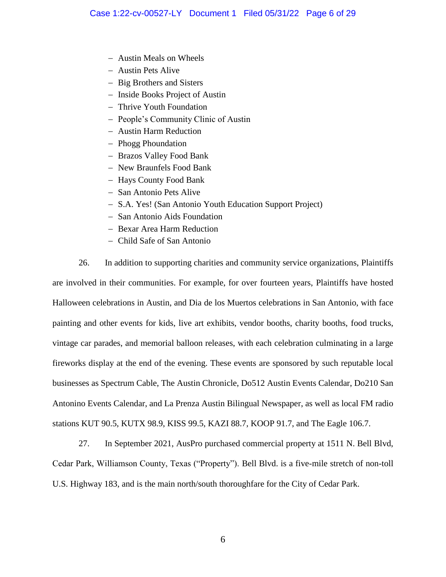- Austin Meals on Wheels
- Austin Pets Alive
- Big Brothers and Sisters
- Inside Books Project of Austin
- Thrive Youth Foundation
- People's Community Clinic of Austin
- Austin Harm Reduction
- Phogg Phoundation
- Brazos Valley Food Bank
- New Braunfels Food Bank
- Hays County Food Bank
- San Antonio Pets Alive
- S.A. Yes! (San Antonio Youth Education Support Project)
- San Antonio Aids Foundation
- Bexar Area Harm Reduction
- Child Safe of San Antonio

26. In addition to supporting charities and community service organizations, Plaintiffs are involved in their communities. For example, for over fourteen years, Plaintiffs have hosted Halloween celebrations in Austin, and Dia de los Muertos celebrations in San Antonio, with face painting and other events for kids, live art exhibits, vendor booths, charity booths, food trucks, vintage car parades, and memorial balloon releases, with each celebration culminating in a large fireworks display at the end of the evening. These events are sponsored by such reputable local businesses as Spectrum Cable, The Austin Chronicle, Do512 Austin Events Calendar, Do210 San Antonino Events Calendar, and La Prenza Austin Bilingual Newspaper, as well as local FM radio stations KUT 90.5, KUTX 98.9, KISS 99.5, KAZI 88.7, KOOP 91.7, and The Eagle 106.7.

27. In September 2021, AusPro purchased commercial property at 1511 N. Bell Blvd, Cedar Park, Williamson County, Texas ("Property"). Bell Blvd. is a five-mile stretch of non-toll U.S. Highway 183, and is the main north/south thoroughfare for the City of Cedar Park.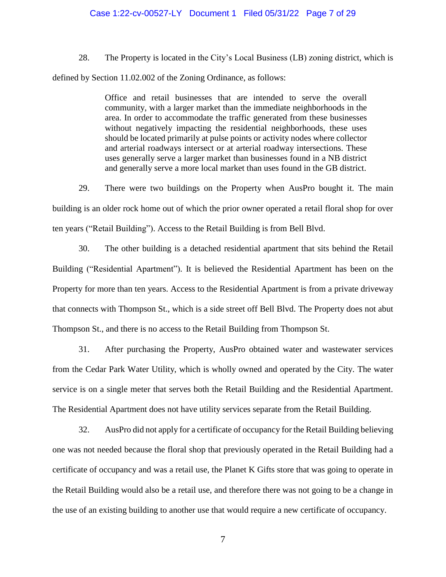#### Case 1:22-cv-00527-LY Document 1 Filed 05/31/22 Page 7 of 29

28. The Property is located in the City's Local Business (LB) zoning district, which is defined by Section 11.02.002 of the Zoning Ordinance, as follows:

> Office and retail businesses that are intended to serve the overall community, with a larger market than the immediate neighborhoods in the area. In order to accommodate the traffic generated from these businesses without negatively impacting the residential neighborhoods, these uses should be located primarily at pulse points or activity nodes where collector and arterial roadways intersect or at arterial roadway intersections. These uses generally serve a larger market than businesses found in a NB district and generally serve a more local market than uses found in the GB district.

29. There were two buildings on the Property when AusPro bought it. The main building is an older rock home out of which the prior owner operated a retail floral shop for over ten years ("Retail Building"). Access to the Retail Building is from Bell Blvd.

30. The other building is a detached residential apartment that sits behind the Retail Building ("Residential Apartment"). It is believed the Residential Apartment has been on the Property for more than ten years. Access to the Residential Apartment is from a private driveway that connects with Thompson St., which is a side street off Bell Blvd. The Property does not abut Thompson St., and there is no access to the Retail Building from Thompson St.

31. After purchasing the Property, AusPro obtained water and wastewater services from the Cedar Park Water Utility, which is wholly owned and operated by the City. The water service is on a single meter that serves both the Retail Building and the Residential Apartment. The Residential Apartment does not have utility services separate from the Retail Building.

32. AusPro did not apply for a certificate of occupancy for the Retail Building believing one was not needed because the floral shop that previously operated in the Retail Building had a certificate of occupancy and was a retail use, the Planet K Gifts store that was going to operate in the Retail Building would also be a retail use, and therefore there was not going to be a change in the use of an existing building to another use that would require a new certificate of occupancy.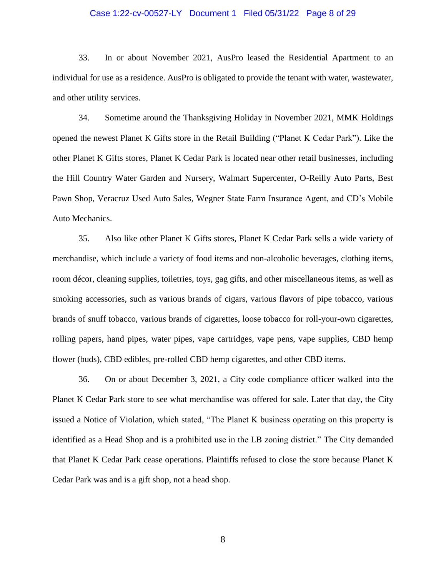#### Case 1:22-cv-00527-LY Document 1 Filed 05/31/22 Page 8 of 29

33. In or about November 2021, AusPro leased the Residential Apartment to an individual for use as a residence. AusPro is obligated to provide the tenant with water, wastewater, and other utility services.

34. Sometime around the Thanksgiving Holiday in November 2021, MMK Holdings opened the newest Planet K Gifts store in the Retail Building ("Planet K Cedar Park"). Like the other Planet K Gifts stores, Planet K Cedar Park is located near other retail businesses, including the Hill Country Water Garden and Nursery, Walmart Supercenter, O-Reilly Auto Parts, Best Pawn Shop, Veracruz Used Auto Sales, Wegner State Farm Insurance Agent, and CD's Mobile Auto Mechanics.

35. Also like other Planet K Gifts stores, Planet K Cedar Park sells a wide variety of merchandise, which include a variety of food items and non-alcoholic beverages, clothing items, room décor, cleaning supplies, toiletries, toys, gag gifts, and other miscellaneous items, as well as smoking accessories, such as various brands of cigars, various flavors of pipe tobacco, various brands of snuff tobacco, various brands of cigarettes, loose tobacco for roll-your-own cigarettes, rolling papers, hand pipes, water pipes, vape cartridges, vape pens, vape supplies, CBD hemp flower (buds), CBD edibles, pre-rolled CBD hemp cigarettes, and other CBD items.

36. On or about December 3, 2021, a City code compliance officer walked into the Planet K Cedar Park store to see what merchandise was offered for sale. Later that day, the City issued a Notice of Violation, which stated, "The Planet K business operating on this property is identified as a Head Shop and is a prohibited use in the LB zoning district." The City demanded that Planet K Cedar Park cease operations. Plaintiffs refused to close the store because Planet K Cedar Park was and is a gift shop, not a head shop.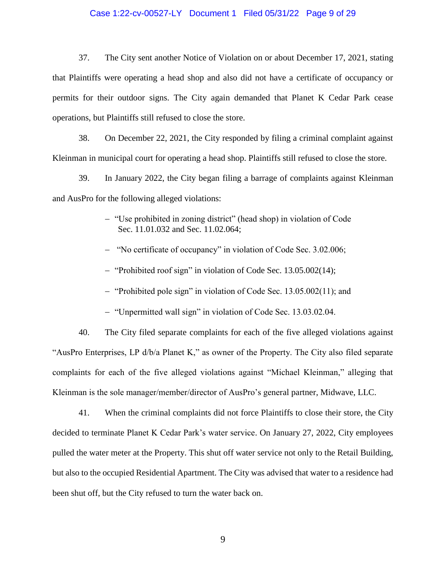#### Case 1:22-cv-00527-LY Document 1 Filed 05/31/22 Page 9 of 29

37. The City sent another Notice of Violation on or about December 17, 2021, stating that Plaintiffs were operating a head shop and also did not have a certificate of occupancy or permits for their outdoor signs. The City again demanded that Planet K Cedar Park cease operations, but Plaintiffs still refused to close the store.

38. On December 22, 2021, the City responded by filing a criminal complaint against Kleinman in municipal court for operating a head shop. Plaintiffs still refused to close the store.

39. In January 2022, the City began filing a barrage of complaints against Kleinman and AusPro for the following alleged violations:

- "Use prohibited in zoning district" (head shop) in violation of Code Sec. 11.01.032 and Sec. 11.02.064;
- "No certificate of occupancy" in violation of Code Sec. 3.02.006;
- "Prohibited roof sign" in violation of Code Sec. 13.05.002(14);
- $-$  "Prohibited pole sign" in violation of Code Sec. 13.05.002(11); and
- "Unpermitted wall sign" in violation of Code Sec. 13.03.02.04.

40. The City filed separate complaints for each of the five alleged violations against "AusPro Enterprises, LP d/b/a Planet K," as owner of the Property. The City also filed separate complaints for each of the five alleged violations against "Michael Kleinman," alleging that Kleinman is the sole manager/member/director of AusPro's general partner, Midwave, LLC.

41. When the criminal complaints did not force Plaintiffs to close their store, the City decided to terminate Planet K Cedar Park's water service. On January 27, 2022, City employees pulled the water meter at the Property. This shut off water service not only to the Retail Building, but also to the occupied Residential Apartment. The City was advised that water to a residence had been shut off, but the City refused to turn the water back on.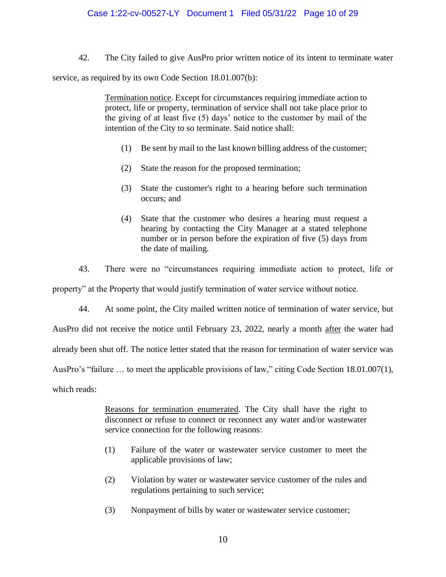42. The City failed to give AusPro prior written notice of its intent to terminate water

service, as required by its own Code Section 18.01.007(b):

Termination notice. Except for circumstances requiring immediate action to protect, life or property, termination of service shall not take place prior to the giving of at least five (5) days' notice to the customer by mail of the intention of the City to so terminate. Said notice shall:

- (1) Be sent by mail to the last known billing address of the customer;
- (2) State the reason for the proposed termination;
- (3) State the customer's right to a hearing before such termination occurs; and
- (4) State that the customer who desires a hearing must request a hearing by contacting the City Manager at a stated telephone number or in person before the expiration of five (5) days from the date of mailing.
- 43. There were no "circumstances requiring immediate action to protect, life or

property" at the Property that would justify termination of water service without notice.

44. At some point, the City mailed written notice of termination of water service, but

AusPro did not receive the notice until February 23, 2022, nearly a month after the water had

already been shut off. The notice letter stated that the reason for termination of water service was

AusPro's "failure … to meet the applicable provisions of law," citing Code Section 18.01.007(1),

which reads:

Reasons for termination enumerated. The City shall have the right to disconnect or refuse to connect or reconnect any water and/or wastewater service connection for the following reasons:

- (1) Failure of the water or wastewater service customer to meet the applicable provisions of law;
- (2) Violation by water or wastewater service customer of the rules and regulations pertaining to such service;
- (3) Nonpayment of bills by water or wastewater service customer;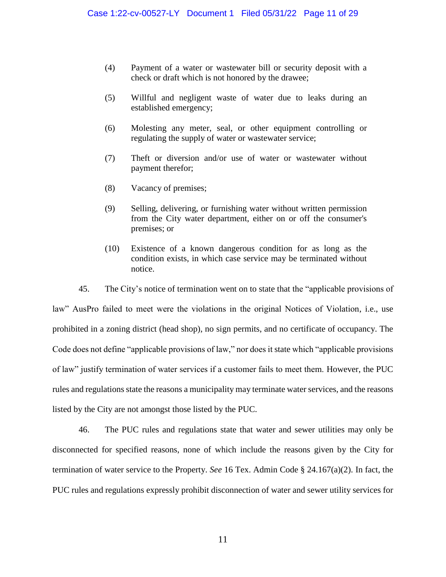- (4) Payment of a water or wastewater bill or security deposit with a check or draft which is not honored by the drawee;
- (5) Willful and negligent waste of water due to leaks during an established emergency;
- (6) Molesting any meter, seal, or other equipment controlling or regulating the supply of water or wastewater service;
- (7) Theft or diversion and/or use of water or wastewater without payment therefor;
- (8) Vacancy of premises;
- (9) Selling, delivering, or furnishing water without written permission from the City water department, either on or off the consumer's premises; or
- (10) Existence of a known dangerous condition for as long as the condition exists, in which case service may be terminated without notice.

45. The City's notice of termination went on to state that the "applicable provisions of law" AusPro failed to meet were the violations in the original Notices of Violation, i.e., use prohibited in a zoning district (head shop), no sign permits, and no certificate of occupancy. The Code does not define "applicable provisions of law," nor does it state which "applicable provisions of law" justify termination of water services if a customer fails to meet them. However, the PUC rules and regulations state the reasons a municipality may terminate water services, and the reasons listed by the City are not amongst those listed by the PUC.

46. The PUC rules and regulations state that water and sewer utilities may only be disconnected for specified reasons, none of which include the reasons given by the City for termination of water service to the Property. *See* 16 Tex. Admin Code § 24.167(a)(2). In fact, the PUC rules and regulations expressly prohibit disconnection of water and sewer utility services for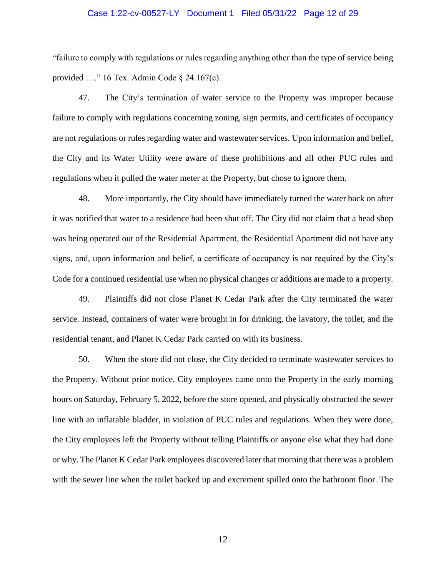#### Case 1:22-cv-00527-LY Document 1 Filed 05/31/22 Page 12 of 29

"failure to comply with regulations or rules regarding anything other than the type of service being provided …." 16 Tex. Admin Code § 24.167(c).

47. The City's termination of water service to the Property was improper because failure to comply with regulations concerning zoning, sign permits, and certificates of occupancy are not regulations or rules regarding water and wastewater services. Upon information and belief, the City and its Water Utility were aware of these prohibitions and all other PUC rules and regulations when it pulled the water meter at the Property, but chose to ignore them.

48. More importantly, the City should have immediately turned the water back on after it was notified that water to a residence had been shut off. The City did not claim that a head shop was being operated out of the Residential Apartment, the Residential Apartment did not have any signs, and, upon information and belief, a certificate of occupancy is not required by the City's Code for a continued residential use when no physical changes or additions are made to a property.

49. Plaintiffs did not close Planet K Cedar Park after the City terminated the water service. Instead, containers of water were brought in for drinking, the lavatory, the toilet, and the residential tenant, and Planet K Cedar Park carried on with its business.

50. When the store did not close, the City decided to terminate wastewater services to the Property. Without prior notice, City employees came onto the Property in the early morning hours on Saturday, February 5, 2022, before the store opened, and physically obstructed the sewer line with an inflatable bladder, in violation of PUC rules and regulations. When they were done, the City employees left the Property without telling Plaintiffs or anyone else what they had done or why. The Planet K Cedar Park employees discovered later that morning that there was a problem with the sewer line when the toilet backed up and excrement spilled onto the bathroom floor. The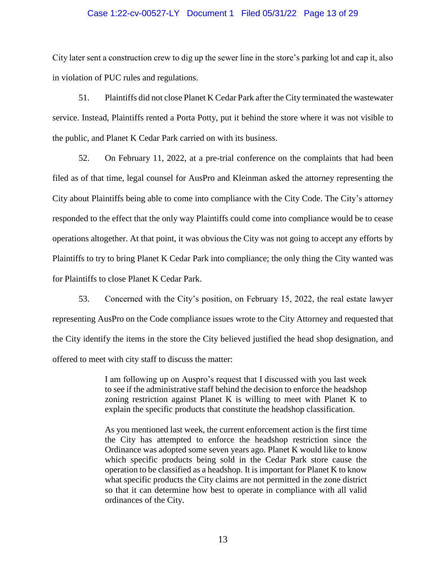#### Case 1:22-cv-00527-LY Document 1 Filed 05/31/22 Page 13 of 29

City later sent a construction crew to dig up the sewer line in the store's parking lot and cap it, also in violation of PUC rules and regulations.

51. Plaintiffs did not close Planet K Cedar Park after the City terminated the wastewater service. Instead, Plaintiffs rented a Porta Potty, put it behind the store where it was not visible to the public, and Planet K Cedar Park carried on with its business.

52. On February 11, 2022, at a pre-trial conference on the complaints that had been filed as of that time, legal counsel for AusPro and Kleinman asked the attorney representing the City about Plaintiffs being able to come into compliance with the City Code. The City's attorney responded to the effect that the only way Plaintiffs could come into compliance would be to cease operations altogether. At that point, it was obvious the City was not going to accept any efforts by Plaintiffs to try to bring Planet K Cedar Park into compliance; the only thing the City wanted was for Plaintiffs to close Planet K Cedar Park.

53. Concerned with the City's position, on February 15, 2022, the real estate lawyer representing AusPro on the Code compliance issues wrote to the City Attorney and requested that the City identify the items in the store the City believed justified the head shop designation, and offered to meet with city staff to discuss the matter:

> I am following up on Auspro's request that I discussed with you last week to see if the administrative staff behind the decision to enforce the headshop zoning restriction against Planet K is willing to meet with Planet K to explain the specific products that constitute the headshop classification.

> As you mentioned last week, the current enforcement action is the first time the City has attempted to enforce the headshop restriction since the Ordinance was adopted some seven years ago. Planet K would like to know which specific products being sold in the Cedar Park store cause the operation to be classified as a headshop. It is important for Planet K to know what specific products the City claims are not permitted in the zone district so that it can determine how best to operate in compliance with all valid ordinances of the City.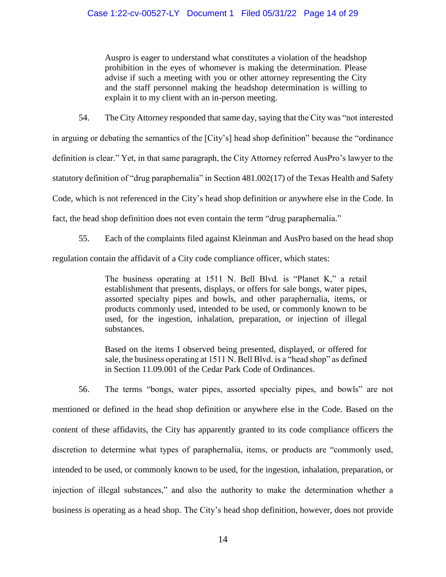Auspro is eager to understand what constitutes a violation of the headshop prohibition in the eyes of whomever is making the determination. Please advise if such a meeting with you or other attorney representing the City and the staff personnel making the headshop determination is willing to explain it to my client with an in-person meeting.

54. The City Attorney responded that same day, saying that the City was "not interested

in arguing or debating the semantics of the [City's] head shop definition" because the "ordinance definition is clear." Yet, in that same paragraph, the City Attorney referred AusPro's lawyer to the statutory definition of "drug paraphernalia" in Section 481.002(17) of the Texas Health and Safety Code, which is not referenced in the City's head shop definition or anywhere else in the Code. In fact, the head shop definition does not even contain the term "drug paraphernalia."

55. Each of the complaints filed against Kleinman and AusPro based on the head shop regulation contain the affidavit of a City code compliance officer, which states:

> The business operating at 1511 N. Bell Blvd. is "Planet K," a retail establishment that presents, displays, or offers for sale bongs, water pipes, assorted specialty pipes and bowls, and other paraphernalia, items, or products commonly used, intended to be used, or commonly known to be used, for the ingestion, inhalation, preparation, or injection of illegal substances.

> Based on the items I observed being presented, displayed, or offered for sale, the business operating at 1511 N. Bell Blvd. is a "head shop" as defined in Section 11.09.001 of the Cedar Park Code of Ordinances.

56. The terms "bongs, water pipes, assorted specialty pipes, and bowls" are not mentioned or defined in the head shop definition or anywhere else in the Code. Based on the content of these affidavits, the City has apparently granted to its code compliance officers the discretion to determine what types of paraphernalia, items, or products are "commonly used, intended to be used, or commonly known to be used, for the ingestion, inhalation, preparation, or injection of illegal substances," and also the authority to make the determination whether a business is operating as a head shop. The City's head shop definition, however, does not provide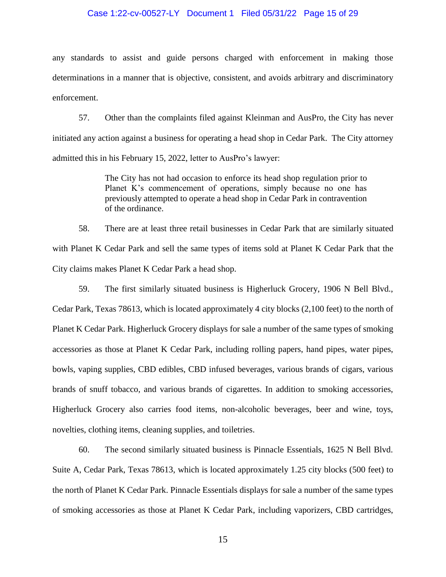#### Case 1:22-cv-00527-LY Document 1 Filed 05/31/22 Page 15 of 29

any standards to assist and guide persons charged with enforcement in making those determinations in a manner that is objective, consistent, and avoids arbitrary and discriminatory enforcement.

57. Other than the complaints filed against Kleinman and AusPro, the City has never initiated any action against a business for operating a head shop in Cedar Park. The City attorney admitted this in his February 15, 2022, letter to AusPro's lawyer:

> The City has not had occasion to enforce its head shop regulation prior to Planet K's commencement of operations, simply because no one has previously attempted to operate a head shop in Cedar Park in contravention of the ordinance.

58. There are at least three retail businesses in Cedar Park that are similarly situated with Planet K Cedar Park and sell the same types of items sold at Planet K Cedar Park that the City claims makes Planet K Cedar Park a head shop.

59. The first similarly situated business is Higherluck Grocery, 1906 N Bell Blvd., Cedar Park, Texas 78613, which is located approximately 4 city blocks (2,100 feet) to the north of Planet K Cedar Park. Higherluck Grocery displays for sale a number of the same types of smoking accessories as those at Planet K Cedar Park, including rolling papers, hand pipes, water pipes, bowls, vaping supplies, CBD edibles, CBD infused beverages, various brands of cigars, various brands of snuff tobacco, and various brands of cigarettes. In addition to smoking accessories, Higherluck Grocery also carries food items, non-alcoholic beverages, beer and wine, toys, novelties, clothing items, cleaning supplies, and toiletries.

60. The second similarly situated business is Pinnacle Essentials, 1625 N Bell Blvd. Suite A, Cedar Park, Texas 78613, which is located approximately 1.25 city blocks (500 feet) to the north of Planet K Cedar Park. Pinnacle Essentials displays for sale a number of the same types of smoking accessories as those at Planet K Cedar Park, including vaporizers, CBD cartridges,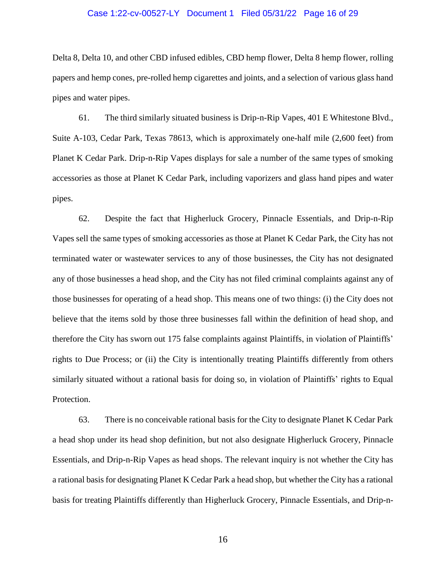#### Case 1:22-cv-00527-LY Document 1 Filed 05/31/22 Page 16 of 29

Delta 8, Delta 10, and other CBD infused edibles, CBD hemp flower, Delta 8 hemp flower, rolling papers and hemp cones, pre-rolled hemp cigarettes and joints, and a selection of various glass hand pipes and water pipes.

61. The third similarly situated business is Drip-n-Rip Vapes, 401 E Whitestone Blvd., Suite A-103, Cedar Park, Texas 78613, which is approximately one-half mile (2,600 feet) from Planet K Cedar Park. Drip-n-Rip Vapes displays for sale a number of the same types of smoking accessories as those at Planet K Cedar Park, including vaporizers and glass hand pipes and water pipes.

62. Despite the fact that Higherluck Grocery, Pinnacle Essentials, and Drip-n-Rip Vapes sell the same types of smoking accessories as those at Planet K Cedar Park, the City has not terminated water or wastewater services to any of those businesses, the City has not designated any of those businesses a head shop, and the City has not filed criminal complaints against any of those businesses for operating of a head shop. This means one of two things: (i) the City does not believe that the items sold by those three businesses fall within the definition of head shop, and therefore the City has sworn out 175 false complaints against Plaintiffs, in violation of Plaintiffs' rights to Due Process; or (ii) the City is intentionally treating Plaintiffs differently from others similarly situated without a rational basis for doing so, in violation of Plaintiffs' rights to Equal Protection.

63. There is no conceivable rational basis for the City to designate Planet K Cedar Park a head shop under its head shop definition, but not also designate Higherluck Grocery, Pinnacle Essentials, and Drip-n-Rip Vapes as head shops. The relevant inquiry is not whether the City has a rational basis for designating Planet K Cedar Park a head shop, but whether the City has a rational basis for treating Plaintiffs differently than Higherluck Grocery, Pinnacle Essentials, and Drip-n-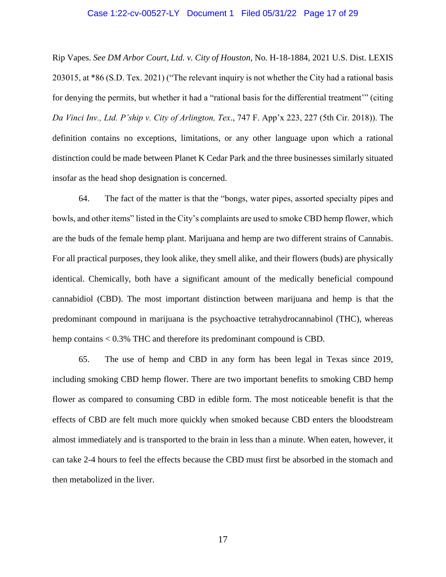#### Case 1:22-cv-00527-LY Document 1 Filed 05/31/22 Page 17 of 29

Rip Vapes. *See DM Arbor Court, Ltd. v. City of Houston*, No. H-18-1884, 2021 U.S. Dist. LEXIS 203015, at \*86 (S.D. Tex. 2021) ("The relevant inquiry is not whether the City had a rational basis for denying the permits, but whether it had a "rational basis for the differential treatment'" (citing *Da Vinci Inv., Ltd. P'ship v. City of Arlington, Tex*., 747 F. App'x 223, 227 (5th Cir. 2018)). The definition contains no exceptions, limitations, or any other language upon which a rational distinction could be made between Planet K Cedar Park and the three businesses similarly situated insofar as the head shop designation is concerned.

64. The fact of the matter is that the "bongs, water pipes, assorted specialty pipes and bowls, and other items" listed in the City's complaints are used to smoke CBD hemp flower, which are the buds of the female hemp plant. Marijuana and hemp are two different strains of Cannabis. For all practical purposes, they look alike, they smell alike, and their flowers (buds) are physically identical. Chemically, both have a significant amount of the medically beneficial compound cannabidiol (CBD). The most important distinction between marijuana and hemp is that the predominant compound in marijuana is the psychoactive tetrahydrocannabinol (THC), whereas hemp contains < 0.3% THC and therefore its predominant compound is CBD.

65. The use of hemp and CBD in any form has been legal in Texas since 2019, including smoking CBD hemp flower. There are two important benefits to smoking CBD hemp flower as compared to consuming CBD in edible form. The most noticeable benefit is that the effects of CBD are felt much more quickly when smoked because CBD enters the bloodstream almost immediately and is transported to the brain in less than a minute. When eaten, however, it can take 2-4 hours to feel the effects because the CBD must first be absorbed in the stomach and then metabolized in the liver.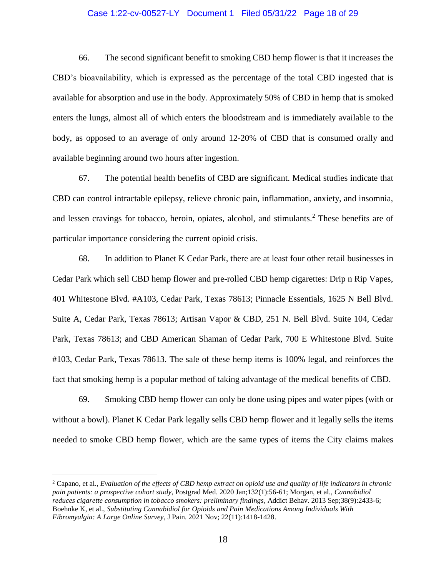#### Case 1:22-cv-00527-LY Document 1 Filed 05/31/22 Page 18 of 29

66. The second significant benefit to smoking CBD hemp flower is that it increases the CBD's bioavailability, which is expressed as the percentage of the total CBD ingested that is available for absorption and use in the body. Approximately 50% of CBD in hemp that is smoked enters the lungs, almost all of which enters the bloodstream and is immediately available to the body, as opposed to an average of only around 12-20% of CBD that is consumed orally and available beginning around two hours after ingestion.

67. The potential health benefits of CBD are significant. Medical studies indicate that CBD can control intractable epilepsy, relieve chronic pain, inflammation, anxiety, and insomnia, and lessen cravings for tobacco, heroin, opiates, alcohol, and stimulants.<sup>2</sup> These benefits are of particular importance considering the current opioid crisis.

68. In addition to Planet K Cedar Park, there are at least four other retail businesses in Cedar Park which sell CBD hemp flower and pre-rolled CBD hemp cigarettes: Drip n Rip Vapes, 401 Whitestone Blvd. #A103, Cedar Park, Texas 78613; Pinnacle Essentials, 1625 N Bell Blvd. Suite A, Cedar Park, Texas 78613; Artisan Vapor & CBD, 251 N. Bell Blvd. Suite 104, Cedar Park, Texas 78613; and CBD American Shaman of Cedar Park, 700 E Whitestone Blvd. Suite #103, Cedar Park, Texas 78613. The sale of these hemp items is 100% legal, and reinforces the fact that smoking hemp is a popular method of taking advantage of the medical benefits of CBD.

69. Smoking CBD hemp flower can only be done using pipes and water pipes (with or without a bowl). Planet K Cedar Park legally sells CBD hemp flower and it legally sells the items needed to smoke CBD hemp flower, which are the same types of items the City claims makes

<sup>2</sup> Capano, et al., *Evaluation of the effects of CBD hemp extract on opioid use and quality of life indicators in chronic pain patients: a prospective cohort study*, Postgrad Med. 2020 Jan;132(1):56-61; Morgan, et al., *Cannabidiol reduces cigarette consumption in tobacco smokers: preliminary findings*, Addict Behav. 2013 Sep;38(9):2433-6; Boehnke K, et al., *Substituting Cannabidiol for Opioids and Pain Medications Among Individuals With Fibromyalgia: A Large Online Survey*, J Pain. 2021 Nov; 22(11):1418-1428.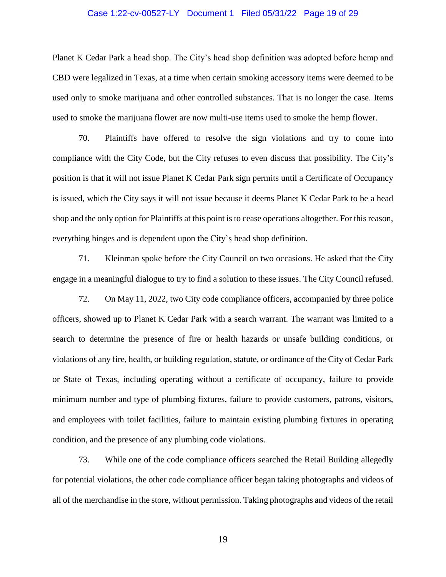#### Case 1:22-cv-00527-LY Document 1 Filed 05/31/22 Page 19 of 29

Planet K Cedar Park a head shop. The City's head shop definition was adopted before hemp and CBD were legalized in Texas, at a time when certain smoking accessory items were deemed to be used only to smoke marijuana and other controlled substances. That is no longer the case. Items used to smoke the marijuana flower are now multi-use items used to smoke the hemp flower.

70. Plaintiffs have offered to resolve the sign violations and try to come into compliance with the City Code, but the City refuses to even discuss that possibility. The City's position is that it will not issue Planet K Cedar Park sign permits until a Certificate of Occupancy is issued, which the City says it will not issue because it deems Planet K Cedar Park to be a head shop and the only option for Plaintiffs at this point is to cease operations altogether. For this reason, everything hinges and is dependent upon the City's head shop definition.

71. Kleinman spoke before the City Council on two occasions. He asked that the City engage in a meaningful dialogue to try to find a solution to these issues. The City Council refused.

72. On May 11, 2022, two City code compliance officers, accompanied by three police officers, showed up to Planet K Cedar Park with a search warrant. The warrant was limited to a search to determine the presence of fire or health hazards or unsafe building conditions, or violations of any fire, health, or building regulation, statute, or ordinance of the City of Cedar Park or State of Texas, including operating without a certificate of occupancy, failure to provide minimum number and type of plumbing fixtures, failure to provide customers, patrons, visitors, and employees with toilet facilities, failure to maintain existing plumbing fixtures in operating condition, and the presence of any plumbing code violations.

73. While one of the code compliance officers searched the Retail Building allegedly for potential violations, the other code compliance officer began taking photographs and videos of all of the merchandise in the store, without permission. Taking photographs and videos of the retail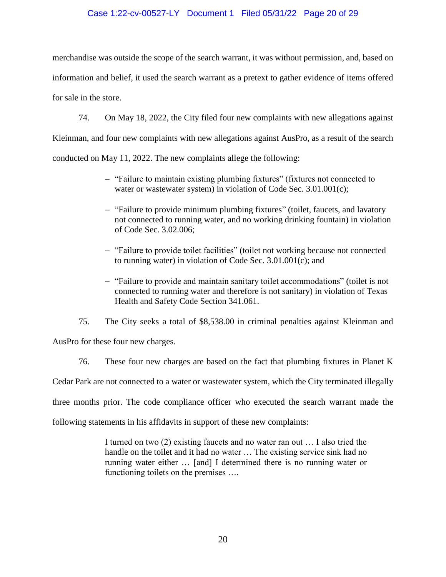## Case 1:22-cv-00527-LY Document 1 Filed 05/31/22 Page 20 of 29

merchandise was outside the scope of the search warrant, it was without permission, and, based on information and belief, it used the search warrant as a pretext to gather evidence of items offered for sale in the store.

74. On May 18, 2022, the City filed four new complaints with new allegations against

Kleinman, and four new complaints with new allegations against AusPro, as a result of the search

conducted on May 11, 2022. The new complaints allege the following:

- "Failure to maintain existing plumbing fixtures" (fixtures not connected to water or wastewater system) in violation of Code Sec. 3.01.001(c);
- "Failure to provide minimum plumbing fixtures" (toilet, faucets, and lavatory not connected to running water, and no working drinking fountain) in violation of Code Sec. 3.02.006;
- "Failure to provide toilet facilities" (toilet not working because not connected to running water) in violation of Code Sec. 3.01.001(c); and
- "Failure to provide and maintain sanitary toilet accommodations" (toilet is not connected to running water and therefore is not sanitary) in violation of Texas Health and Safety Code Section 341.061.

75. The City seeks a total of \$8,538.00 in criminal penalties against Kleinman and AusPro for these four new charges.

76. These four new charges are based on the fact that plumbing fixtures in Planet K

Cedar Park are not connected to a water or wastewater system, which the City terminated illegally

three months prior. The code compliance officer who executed the search warrant made the

following statements in his affidavits in support of these new complaints:

I turned on two (2) existing faucets and no water ran out … I also tried the handle on the toilet and it had no water  $\ldots$  The existing service sink had no running water either … [and] I determined there is no running water or functioning toilets on the premises ….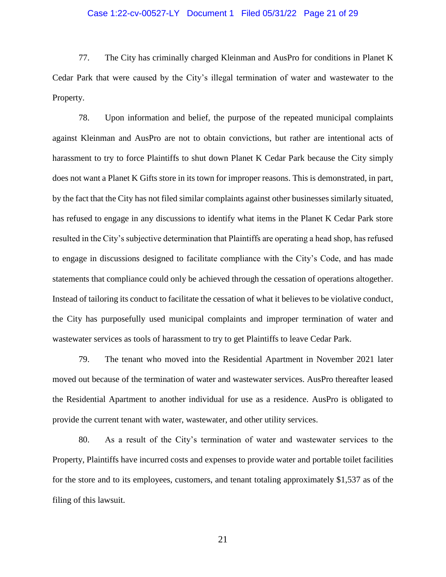#### Case 1:22-cv-00527-LY Document 1 Filed 05/31/22 Page 21 of 29

77. The City has criminally charged Kleinman and AusPro for conditions in Planet K Cedar Park that were caused by the City's illegal termination of water and wastewater to the Property.

78. Upon information and belief, the purpose of the repeated municipal complaints against Kleinman and AusPro are not to obtain convictions, but rather are intentional acts of harassment to try to force Plaintiffs to shut down Planet K Cedar Park because the City simply does not want a Planet K Gifts store in its town for improper reasons. This is demonstrated, in part, by the fact that the City has not filed similar complaints against other businesses similarly situated, has refused to engage in any discussions to identify what items in the Planet K Cedar Park store resulted in the City's subjective determination that Plaintiffs are operating a head shop, has refused to engage in discussions designed to facilitate compliance with the City's Code, and has made statements that compliance could only be achieved through the cessation of operations altogether. Instead of tailoring its conduct to facilitate the cessation of what it believes to be violative conduct, the City has purposefully used municipal complaints and improper termination of water and wastewater services as tools of harassment to try to get Plaintiffs to leave Cedar Park.

79. The tenant who moved into the Residential Apartment in November 2021 later moved out because of the termination of water and wastewater services. AusPro thereafter leased the Residential Apartment to another individual for use as a residence. AusPro is obligated to provide the current tenant with water, wastewater, and other utility services.

80. As a result of the City's termination of water and wastewater services to the Property, Plaintiffs have incurred costs and expenses to provide water and portable toilet facilities for the store and to its employees, customers, and tenant totaling approximately \$1,537 as of the filing of this lawsuit.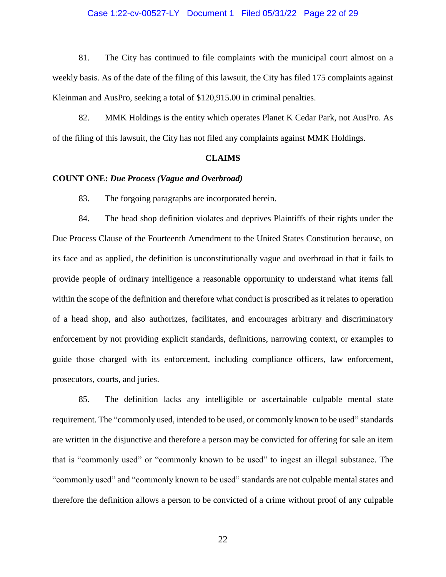#### Case 1:22-cv-00527-LY Document 1 Filed 05/31/22 Page 22 of 29

81. The City has continued to file complaints with the municipal court almost on a weekly basis. As of the date of the filing of this lawsuit, the City has filed 175 complaints against Kleinman and AusPro, seeking a total of \$120,915.00 in criminal penalties.

82. MMK Holdings is the entity which operates Planet K Cedar Park, not AusPro. As of the filing of this lawsuit, the City has not filed any complaints against MMK Holdings.

#### **CLAIMS**

#### **COUNT ONE:** *Due Process (Vague and Overbroad)*

83. The forgoing paragraphs are incorporated herein.

84. The head shop definition violates and deprives Plaintiffs of their rights under the Due Process Clause of the Fourteenth Amendment to the United States Constitution because, on its face and as applied, the definition is unconstitutionally vague and overbroad in that it fails to provide people of ordinary intelligence a reasonable opportunity to understand what items fall within the scope of the definition and therefore what conduct is proscribed as it relates to operation of a head shop, and also authorizes, facilitates, and encourages arbitrary and discriminatory enforcement by not providing explicit standards, definitions, narrowing context, or examples to guide those charged with its enforcement, including compliance officers, law enforcement, prosecutors, courts, and juries.

85. The definition lacks any intelligible or ascertainable culpable mental state requirement. The "commonly used, intended to be used, or commonly known to be used" standards are written in the disjunctive and therefore a person may be convicted for offering for sale an item that is "commonly used" or "commonly known to be used" to ingest an illegal substance. The "commonly used" and "commonly known to be used" standards are not culpable mental states and therefore the definition allows a person to be convicted of a crime without proof of any culpable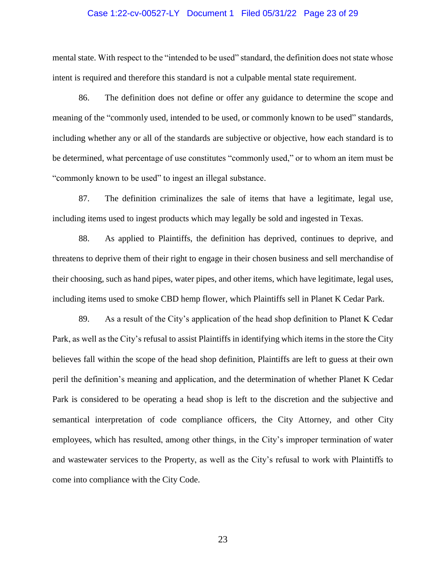#### Case 1:22-cv-00527-LY Document 1 Filed 05/31/22 Page 23 of 29

mental state. With respect to the "intended to be used" standard, the definition does not state whose intent is required and therefore this standard is not a culpable mental state requirement.

86. The definition does not define or offer any guidance to determine the scope and meaning of the "commonly used, intended to be used, or commonly known to be used" standards, including whether any or all of the standards are subjective or objective, how each standard is to be determined, what percentage of use constitutes "commonly used," or to whom an item must be "commonly known to be used" to ingest an illegal substance.

87. The definition criminalizes the sale of items that have a legitimate, legal use, including items used to ingest products which may legally be sold and ingested in Texas.

88. As applied to Plaintiffs, the definition has deprived, continues to deprive, and threatens to deprive them of their right to engage in their chosen business and sell merchandise of their choosing, such as hand pipes, water pipes, and other items, which have legitimate, legal uses, including items used to smoke CBD hemp flower, which Plaintiffs sell in Planet K Cedar Park.

89. As a result of the City's application of the head shop definition to Planet K Cedar Park, as well as the City's refusal to assist Plaintiffs in identifying which items in the store the City believes fall within the scope of the head shop definition, Plaintiffs are left to guess at their own peril the definition's meaning and application, and the determination of whether Planet K Cedar Park is considered to be operating a head shop is left to the discretion and the subjective and semantical interpretation of code compliance officers, the City Attorney, and other City employees, which has resulted, among other things, in the City's improper termination of water and wastewater services to the Property, as well as the City's refusal to work with Plaintiffs to come into compliance with the City Code.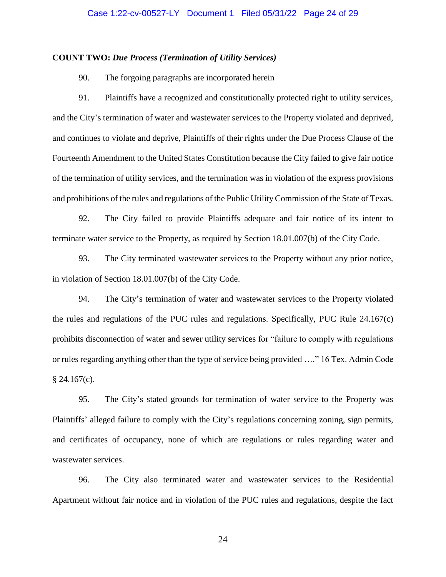#### **COUNT TWO:** *Due Process (Termination of Utility Services)*

90. The forgoing paragraphs are incorporated herein

91. Plaintiffs have a recognized and constitutionally protected right to utility services, and the City's termination of water and wastewater services to the Property violated and deprived, and continues to violate and deprive, Plaintiffs of their rights under the Due Process Clause of the Fourteenth Amendment to the United States Constitution because the City failed to give fair notice of the termination of utility services, and the termination was in violation of the express provisions and prohibitions of the rules and regulations of the Public Utility Commission of the State of Texas.

92. The City failed to provide Plaintiffs adequate and fair notice of its intent to terminate water service to the Property, as required by Section 18.01.007(b) of the City Code.

93. The City terminated wastewater services to the Property without any prior notice, in violation of Section 18.01.007(b) of the City Code.

94. The City's termination of water and wastewater services to the Property violated the rules and regulations of the PUC rules and regulations. Specifically, PUC Rule 24.167(c) prohibits disconnection of water and sewer utility services for "failure to comply with regulations or rules regarding anything other than the type of service being provided …." 16 Tex. Admin Code  $§$  24.167(c).

95. The City's stated grounds for termination of water service to the Property was Plaintiffs' alleged failure to comply with the City's regulations concerning zoning, sign permits, and certificates of occupancy, none of which are regulations or rules regarding water and wastewater services.

96. The City also terminated water and wastewater services to the Residential Apartment without fair notice and in violation of the PUC rules and regulations, despite the fact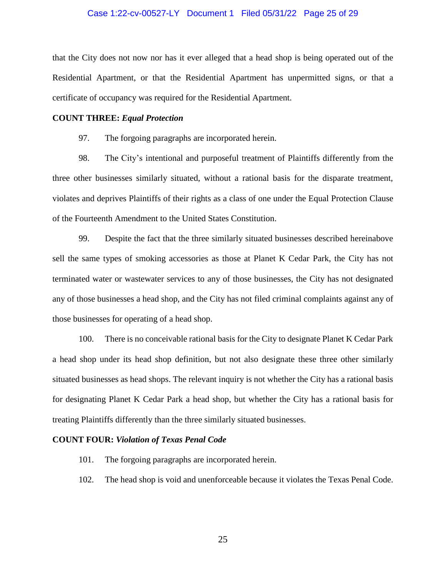#### Case 1:22-cv-00527-LY Document 1 Filed 05/31/22 Page 25 of 29

that the City does not now nor has it ever alleged that a head shop is being operated out of the Residential Apartment, or that the Residential Apartment has unpermitted signs, or that a certificate of occupancy was required for the Residential Apartment.

#### **COUNT THREE:** *Equal Protection*

97. The forgoing paragraphs are incorporated herein.

98. The City's intentional and purposeful treatment of Plaintiffs differently from the three other businesses similarly situated, without a rational basis for the disparate treatment, violates and deprives Plaintiffs of their rights as a class of one under the Equal Protection Clause of the Fourteenth Amendment to the United States Constitution.

99. Despite the fact that the three similarly situated businesses described hereinabove sell the same types of smoking accessories as those at Planet K Cedar Park, the City has not terminated water or wastewater services to any of those businesses, the City has not designated any of those businesses a head shop, and the City has not filed criminal complaints against any of those businesses for operating of a head shop.

100. There is no conceivable rational basis for the City to designate Planet K Cedar Park a head shop under its head shop definition, but not also designate these three other similarly situated businesses as head shops. The relevant inquiry is not whether the City has a rational basis for designating Planet K Cedar Park a head shop, but whether the City has a rational basis for treating Plaintiffs differently than the three similarly situated businesses.

#### **COUNT FOUR:** *Violation of Texas Penal Code*

- 101. The forgoing paragraphs are incorporated herein.
- 102. The head shop is void and unenforceable because it violates the Texas Penal Code.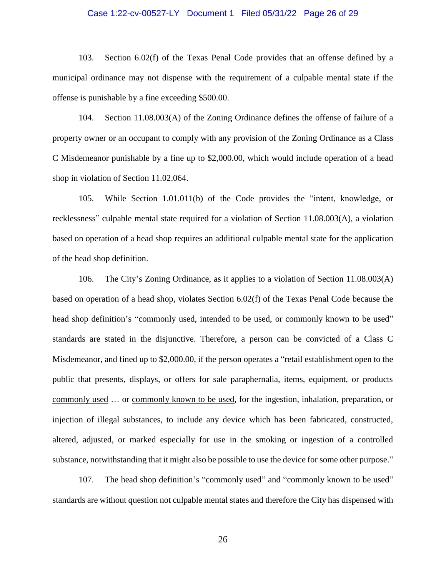#### Case 1:22-cv-00527-LY Document 1 Filed 05/31/22 Page 26 of 29

103. Section 6.02(f) of the Texas Penal Code provides that an offense defined by a municipal ordinance may not dispense with the requirement of a culpable mental state if the offense is punishable by a fine exceeding \$500.00.

104. Section 11.08.003(A) of the Zoning Ordinance defines the offense of failure of a property owner or an occupant to comply with any provision of the Zoning Ordinance as a Class C Misdemeanor punishable by a fine up to \$2,000.00, which would include operation of a head shop in violation of Section 11.02.064.

105. While Section 1.01.011(b) of the Code provides the "intent, knowledge, or recklessness" culpable mental state required for a violation of Section 11.08.003(A), a violation based on operation of a head shop requires an additional culpable mental state for the application of the head shop definition.

106. The City's Zoning Ordinance, as it applies to a violation of Section 11.08.003(A) based on operation of a head shop, violates Section 6.02(f) of the Texas Penal Code because the head shop definition's "commonly used, intended to be used, or commonly known to be used" standards are stated in the disjunctive. Therefore, a person can be convicted of a Class C Misdemeanor, and fined up to \$2,000.00, if the person operates a "retail establishment open to the public that presents, displays, or offers for sale paraphernalia, items, equipment, or products commonly used … or commonly known to be used, for the ingestion, inhalation, preparation, or injection of illegal substances, to include any device which has been fabricated, constructed, altered, adjusted, or marked especially for use in the smoking or ingestion of a controlled substance, notwithstanding that it might also be possible to use the device for some other purpose."

107. The head shop definition's "commonly used" and "commonly known to be used" standards are without question not culpable mental states and therefore the City has dispensed with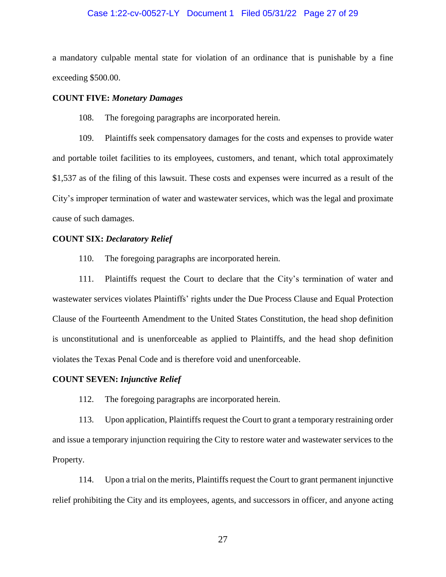#### Case 1:22-cv-00527-LY Document 1 Filed 05/31/22 Page 27 of 29

a mandatory culpable mental state for violation of an ordinance that is punishable by a fine exceeding \$500.00.

#### **COUNT FIVE:** *Monetary Damages*

108. The foregoing paragraphs are incorporated herein.

109. Plaintiffs seek compensatory damages for the costs and expenses to provide water and portable toilet facilities to its employees, customers, and tenant, which total approximately \$1,537 as of the filing of this lawsuit. These costs and expenses were incurred as a result of the City's improper termination of water and wastewater services, which was the legal and proximate cause of such damages.

#### **COUNT SIX:** *Declaratory Relief*

110. The foregoing paragraphs are incorporated herein.

111. Plaintiffs request the Court to declare that the City's termination of water and wastewater services violates Plaintiffs' rights under the Due Process Clause and Equal Protection Clause of the Fourteenth Amendment to the United States Constitution, the head shop definition is unconstitutional and is unenforceable as applied to Plaintiffs, and the head shop definition violates the Texas Penal Code and is therefore void and unenforceable.

#### **COUNT SEVEN:** *Injunctive Relief*

112. The foregoing paragraphs are incorporated herein.

113. Upon application, Plaintiffs request the Court to grant a temporary restraining order and issue a temporary injunction requiring the City to restore water and wastewater services to the Property.

114. Upon a trial on the merits, Plaintiffs request the Court to grant permanent injunctive relief prohibiting the City and its employees, agents, and successors in officer, and anyone acting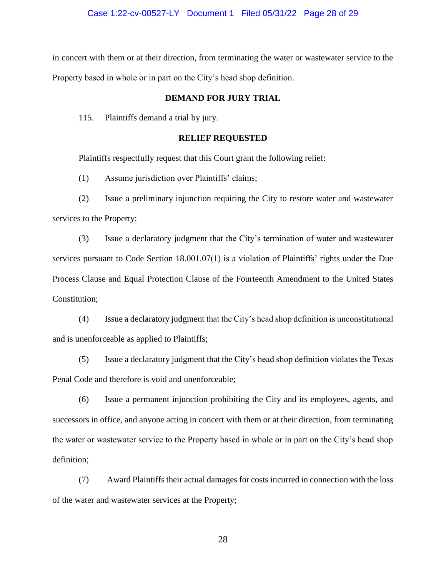#### Case 1:22-cv-00527-LY Document 1 Filed 05/31/22 Page 28 of 29

in concert with them or at their direction, from terminating the water or wastewater service to the Property based in whole or in part on the City's head shop definition.

#### **DEMAND FOR JURY TRIAL**

115. Plaintiffs demand a trial by jury.

#### **RELIEF REQUESTED**

Plaintiffs respectfully request that this Court grant the following relief:

(1) Assume jurisdiction over Plaintiffs' claims;

(2) Issue a preliminary injunction requiring the City to restore water and wastewater services to the Property;

(3) Issue a declaratory judgment that the City's termination of water and wastewater services pursuant to Code Section 18.001.07(1) is a violation of Plaintiffs' rights under the Due Process Clause and Equal Protection Clause of the Fourteenth Amendment to the United States Constitution;

(4) Issue a declaratory judgment that the City's head shop definition is unconstitutional and is unenforceable as applied to Plaintiffs;

(5) Issue a declaratory judgment that the City's head shop definition violates the Texas Penal Code and therefore is void and unenforceable;

(6) Issue a permanent injunction prohibiting the City and its employees, agents, and successors in office, and anyone acting in concert with them or at their direction, from terminating the water or wastewater service to the Property based in whole or in part on the City's head shop definition;

(7) Award Plaintiffs their actual damages for costs incurred in connection with the loss of the water and wastewater services at the Property;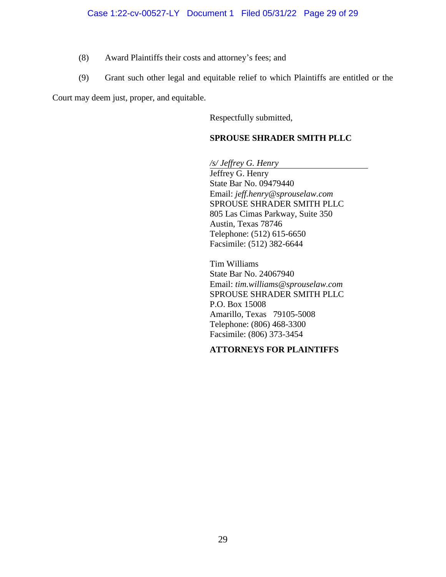- (8) Award Plaintiffs their costs and attorney's fees; and
- (9) Grant such other legal and equitable relief to which Plaintiffs are entitled or the

Court may deem just, proper, and equitable.

Respectfully submitted,

# **SPROUSE SHRADER SMITH PLLC**

*/s/ Jeffrey G. Henry* Jeffrey G. Henry State Bar No. 09479440 Email: *jeff.henry@sprouselaw.com* SPROUSE SHRADER SMITH PLLC 805 Las Cimas Parkway, Suite 350 Austin, Texas 78746 Telephone: (512) 615-6650 Facsimile: (512) 382-6644

Tim Williams State Bar No. 24067940 Email: *tim.williams@sprouselaw.com* SPROUSE SHRADER SMITH PLLC P.O. Box 15008 Amarillo, Texas 79105-5008 Telephone: (806) 468-3300 Facsimile: (806) 373-3454

# **ATTORNEYS FOR PLAINTIFFS**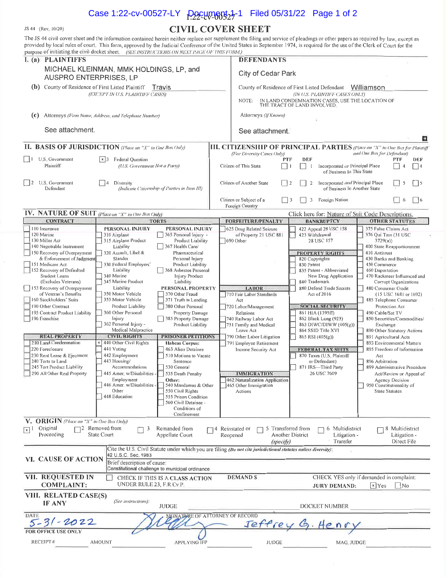# Case 1:22-cv-00527-LY  $P_2$   $P_3$   $C$   $C$   $P_4$   $P_5$   $P_1$  Filed 05/31/22 Page 1 of 2

JS 44 (Rev. 10/20)

# **CIVIL COVER SHEET**

The JS 44 civil cover sheet and the information contained herein neither replace nor supplement the filing and service of pleadings or other papers as required by law, except as provided by local rules of court. This form, approved by the Judicial Conference of the United States in September 1974, is required for the use of the Clerk of Court for the e of initiating the civil docket sheet. (SEE INSTRUCTIONS ON NEXT PAGE OF THIS FORM)

| I. (a) PLAINTIFFS                                                                                                                                                                                                                                                                                                                                                                                  | purpose of initiating the civil docket sheet. Then hypertected on what I achieve this expansi                                                                                                                                                                                                                                                                                                                                                                                                                                                                                                                                                                                                                            | <b>DEFENDANTS</b>                                                                                                                                                                                                           |                                                                                                                                                                                                                                                                                                                                                  |                                                                                                                                                                                                                                                                                                                                                                                                                      |  |  |  |
|----------------------------------------------------------------------------------------------------------------------------------------------------------------------------------------------------------------------------------------------------------------------------------------------------------------------------------------------------------------------------------------------------|--------------------------------------------------------------------------------------------------------------------------------------------------------------------------------------------------------------------------------------------------------------------------------------------------------------------------------------------------------------------------------------------------------------------------------------------------------------------------------------------------------------------------------------------------------------------------------------------------------------------------------------------------------------------------------------------------------------------------|-----------------------------------------------------------------------------------------------------------------------------------------------------------------------------------------------------------------------------|--------------------------------------------------------------------------------------------------------------------------------------------------------------------------------------------------------------------------------------------------------------------------------------------------------------------------------------------------|----------------------------------------------------------------------------------------------------------------------------------------------------------------------------------------------------------------------------------------------------------------------------------------------------------------------------------------------------------------------------------------------------------------------|--|--|--|
|                                                                                                                                                                                                                                                                                                                                                                                                    |                                                                                                                                                                                                                                                                                                                                                                                                                                                                                                                                                                                                                                                                                                                          |                                                                                                                                                                                                                             |                                                                                                                                                                                                                                                                                                                                                  |                                                                                                                                                                                                                                                                                                                                                                                                                      |  |  |  |
| MICHAEL KLEINMAN, MMK HOLDINGS, LP, and<br>AUSPRO ENTERPRISES, LP                                                                                                                                                                                                                                                                                                                                  |                                                                                                                                                                                                                                                                                                                                                                                                                                                                                                                                                                                                                                                                                                                          | City of Cedar Park                                                                                                                                                                                                          |                                                                                                                                                                                                                                                                                                                                                  |                                                                                                                                                                                                                                                                                                                                                                                                                      |  |  |  |
| (b) County of Residence of First Listed Plaintiff<br>Travis                                                                                                                                                                                                                                                                                                                                        |                                                                                                                                                                                                                                                                                                                                                                                                                                                                                                                                                                                                                                                                                                                          |                                                                                                                                                                                                                             | County of Residence of First Listed Defendant<br>Williamson                                                                                                                                                                                                                                                                                      |                                                                                                                                                                                                                                                                                                                                                                                                                      |  |  |  |
| (EXCEPT IN U.S. PLAINTIFF CASES)                                                                                                                                                                                                                                                                                                                                                                   |                                                                                                                                                                                                                                                                                                                                                                                                                                                                                                                                                                                                                                                                                                                          | (IN U.S. PLAINTIFF CASES ONLY)<br>IN LAND CONDEMNATION CASES, USE THE LOCATION OF<br>NOTE:<br>THE TRACT OF LAND INVOLVED.                                                                                                   |                                                                                                                                                                                                                                                                                                                                                  |                                                                                                                                                                                                                                                                                                                                                                                                                      |  |  |  |
| Attorneys (Firm Name, Address, and Telephone Number)<br>(c)                                                                                                                                                                                                                                                                                                                                        |                                                                                                                                                                                                                                                                                                                                                                                                                                                                                                                                                                                                                                                                                                                          | Attorneys (If Known)                                                                                                                                                                                                        |                                                                                                                                                                                                                                                                                                                                                  |                                                                                                                                                                                                                                                                                                                                                                                                                      |  |  |  |
| See attachment.                                                                                                                                                                                                                                                                                                                                                                                    |                                                                                                                                                                                                                                                                                                                                                                                                                                                                                                                                                                                                                                                                                                                          | See attachment.                                                                                                                                                                                                             |                                                                                                                                                                                                                                                                                                                                                  |                                                                                                                                                                                                                                                                                                                                                                                                                      |  |  |  |
|                                                                                                                                                                                                                                                                                                                                                                                                    | II. BASIS OF JURISDICTION (Place an "X" in One Box Only)                                                                                                                                                                                                                                                                                                                                                                                                                                                                                                                                                                                                                                                                 | <b>III. CITIZENSHIP OF PRINCIPAL PARTIES</b> (Place an "X" in One Box for Plaintiff                                                                                                                                         |                                                                                                                                                                                                                                                                                                                                                  | 日                                                                                                                                                                                                                                                                                                                                                                                                                    |  |  |  |
|                                                                                                                                                                                                                                                                                                                                                                                                    |                                                                                                                                                                                                                                                                                                                                                                                                                                                                                                                                                                                                                                                                                                                          | (For Diversity Cases Only)                                                                                                                                                                                                  |                                                                                                                                                                                                                                                                                                                                                  | and One Box for Defendant)                                                                                                                                                                                                                                                                                                                                                                                           |  |  |  |
| U.S. Government<br>$\vert$ 1<br>Plaintiff                                                                                                                                                                                                                                                                                                                                                          | $\lfloor x \rfloor$ Federal Question<br>(U.S. Government Not a Party)                                                                                                                                                                                                                                                                                                                                                                                                                                                                                                                                                                                                                                                    | PTF<br>Citizen of This State                                                                                                                                                                                                | <b>DEF</b><br>Incorporated or Principal Place<br>-1<br>of Business In This State                                                                                                                                                                                                                                                                 | PTF<br>DEF<br> 4<br>$\boldsymbol{\Delta}$                                                                                                                                                                                                                                                                                                                                                                            |  |  |  |
| U.S. Government<br>$\vert$ 2<br>Defendant                                                                                                                                                                                                                                                                                                                                                          | Diversity<br>(Indicate Citizenship of Parties in Item III)                                                                                                                                                                                                                                                                                                                                                                                                                                                                                                                                                                                                                                                               | Citizen of Another State                                                                                                                                                                                                    | Incorporated and Principal Place<br>2<br>2<br>of Business In Another State                                                                                                                                                                                                                                                                       |                                                                                                                                                                                                                                                                                                                                                                                                                      |  |  |  |
|                                                                                                                                                                                                                                                                                                                                                                                                    |                                                                                                                                                                                                                                                                                                                                                                                                                                                                                                                                                                                                                                                                                                                          | Citizen or Subject of a<br>$\vert$   3<br>Foreign Country                                                                                                                                                                   | 3<br>Foreign Nation                                                                                                                                                                                                                                                                                                                              | $\frac{1}{6}$<br>6                                                                                                                                                                                                                                                                                                                                                                                                   |  |  |  |
| IV. NATURE OF SUIT (Place an "X" in One Box Only)                                                                                                                                                                                                                                                                                                                                                  |                                                                                                                                                                                                                                                                                                                                                                                                                                                                                                                                                                                                                                                                                                                          |                                                                                                                                                                                                                             | Click here for: Nature of Suit Code Descriptions.                                                                                                                                                                                                                                                                                                |                                                                                                                                                                                                                                                                                                                                                                                                                      |  |  |  |
| <b>CONTRACT</b><br>110 Insurance                                                                                                                                                                                                                                                                                                                                                                   | <b>TORTS</b><br><b>PERSONAL INJURY</b><br><b>PERSONAL INJURY</b>                                                                                                                                                                                                                                                                                                                                                                                                                                                                                                                                                                                                                                                         | FORFEITURE/PENALTY<br>625 Drug Related Seizure                                                                                                                                                                              | <b>BANKRUPTCY</b><br>422 Appeal 28 USC 158                                                                                                                                                                                                                                                                                                       | <b>OTHER STATUTES</b><br>375 False Claims Act                                                                                                                                                                                                                                                                                                                                                                        |  |  |  |
| 120 Marine<br>130 Miller Act<br>140 Negotiable Instrument<br>150 Recovery of Overpayment<br>& Enforcement of Judgment<br>151 Medicare Act<br>152 Recovery of Defaulted<br>Student Loans<br>(Excludes Veterans)<br>153 Recovery of Overpayment<br>of Veteran's Benefits<br>160 Stockholders' Suits<br>190 Other Contract<br>195 Contract Product Liability<br>196 Franchise<br><b>REAL PROPERTY</b> | 310 Airplane<br>365 Personal Injury -<br>315 Airplane Product<br>Product Liability<br>Liability<br>367 Health Care/<br>320 Assault, Libel &<br>Pharmaceutical<br>Slander<br>Personal Injury<br>330 Federal Employers'<br>Product Liability<br>368 Asbestos Personal<br>Liability<br>340 Marine<br>Injury Product<br>Liability<br>345 Marine Product<br>PERSONAL PROPERTY<br>Liability<br>350 Motor Vehicle<br>370 Other Fraud<br>355 Motor Vehicle<br>371 Truth in Lending<br>Product Liability<br>380 Other Personal<br>360 Other Personal<br>Property Damage<br>Injury<br>385 Property Damage<br>362 Personal Injury -<br>Product Liability<br>Medical Malpractice<br><b>PRISONER PETITIONS</b><br><b>CIVIL RIGHTS</b> | of Property 21 USC 881<br>$690$ Other<br><b>LABOR</b><br>710 Fair Labor Standards<br>Act<br>720 Labor/Management<br>Relations<br>740 Railway Labor Act<br>751 Family and Medical<br>Leave Act<br>790 Other Labor Litigation | 423 Withdrawal<br>28 USC 157<br><b>PROPERTY RIGHTS</b><br>820 Copyrights<br>830 Patent<br>835 Patent - Abbreviated<br>New Drug Application<br>840 Trademark<br>880 Defend Trade Secrets<br>Act of 2016<br><b>SOCIAL SECURITY</b><br>861 HIA (1395ff)<br>862 Black Lung (923)<br>863 DIWC/DIWW (405(μ))<br>864 SSID Title XVI<br>865 RSI (405(g)) | 376 Qui Tam (31 USC<br>3729(a)<br>400 State Reapportionment<br>410 Antitrust<br>430 Banks and Banking<br>450 Commerce<br>460 Deportation<br>470 Racketeer Influenced and<br>Corrupt Organizations<br>480 Consumer Credit<br>(15 USC 1681 or 1692)<br>485 Telephone Consumer<br>Protection Act<br>490 Cable/Sat TV<br>850 Securities/Commodities/<br>Exchange<br>890 Other Statutory Actions<br>891 Agricultural Acts |  |  |  |
| 210 Land Condemnation<br>220 Foreclosure<br>230 Rent Lease & Ejectment<br>240 Torts to Land<br>245 Tort Product Liability<br>290 All Other Real Property                                                                                                                                                                                                                                           | $\times$ 440 Other Civil Rights<br><b>Habeas Corpus:</b><br>441 Voting<br>463 Alien Detainee<br>442 Employment<br>510 Motions to Vacate<br>443 Housing/<br>Sentence<br>Accommodations<br>530 General<br>445 Amer. w/Disabilities -<br>535 Death Penalty<br>Employment<br>Other:<br>446 Amer. w/Disabilities<br>540 Mandamus & Other<br>Other<br>550 Civil Rights<br>448 Education<br>555 Prison Condition<br>560 Civil Detainee -<br>Conditions of<br>Confinement                                                                                                                                                                                                                                                        | 791 Employee Retirement<br>Income Security Act<br><b>IMMIGRATION</b><br>462 Naturalization Application<br>465 Other Immigration<br>Actions                                                                                  | <b>FEDERAL TAX SUITS</b><br>870 Taxes (U.S. Plaintiff<br>or Defendant)<br>871 IRS-Third Party<br>26 USC 7609                                                                                                                                                                                                                                     | 893 Environmental Matters<br>895 Freedom of Information<br>Act<br>896 Arbitration<br>899 Administrative Procedure<br>Act/Review or Appeal of<br>Agency Decision<br>950 Constitutionality of<br><b>State Statutes</b>                                                                                                                                                                                                 |  |  |  |
| <b>V. ORIGIN</b> (Place an "X" in One Box Only)<br>Original<br>$\lceil x \rceil$<br>Proceeding                                                                                                                                                                                                                                                                                                     | 72 Removed from<br>Remanded from<br>3<br>State Court<br>Appellate Court                                                                                                                                                                                                                                                                                                                                                                                                                                                                                                                                                                                                                                                  | 5 Transferred from<br>$\Box$ 4 Reinstated or<br>Reopened<br>(specify)                                                                                                                                                       | 6 Multidistrict<br>Another District<br>Litigation -<br>Transfer                                                                                                                                                                                                                                                                                  | 8 Multidistrict<br>Litigation -<br>Direct File                                                                                                                                                                                                                                                                                                                                                                       |  |  |  |
| <b>VI. CAUSE OF ACTION</b>                                                                                                                                                                                                                                                                                                                                                                         | Cite the U.S. Civil Statute under which you are filing (Do not cite jurisdictional statutes unless diversity):<br>42 U.S.C. Sec. 1983<br>Brief description of cause:<br>Constitutional challenge to municipal ordinance                                                                                                                                                                                                                                                                                                                                                                                                                                                                                                  |                                                                                                                                                                                                                             |                                                                                                                                                                                                                                                                                                                                                  |                                                                                                                                                                                                                                                                                                                                                                                                                      |  |  |  |
| VII. REQUESTED IN<br><b>COMPLAINT:</b>                                                                                                                                                                                                                                                                                                                                                             | <b>CHECK IF THIS IS A CLASS ACTION</b><br>UNDER RULE 23, F R Cv P                                                                                                                                                                                                                                                                                                                                                                                                                                                                                                                                                                                                                                                        | <b>DEMANDS</b>                                                                                                                                                                                                              | <b>JURY DEMAND:</b>                                                                                                                                                                                                                                                                                                                              | CHECK YES only if demanded in complaint:<br>$x$ Yes<br>$\overline{N}$                                                                                                                                                                                                                                                                                                                                                |  |  |  |
| VIII. RELATED CASE(S)<br><b>IF ANY</b>                                                                                                                                                                                                                                                                                                                                                             | (See instructions):<br>JUDGE                                                                                                                                                                                                                                                                                                                                                                                                                                                                                                                                                                                                                                                                                             |                                                                                                                                                                                                                             | DOCKET NUMBER                                                                                                                                                                                                                                                                                                                                    |                                                                                                                                                                                                                                                                                                                                                                                                                      |  |  |  |
| DATE.<br>$5 - 31 - 2022$                                                                                                                                                                                                                                                                                                                                                                           |                                                                                                                                                                                                                                                                                                                                                                                                                                                                                                                                                                                                                                                                                                                          | SIGNATURE OF ATTORNEY OF RECORD                                                                                                                                                                                             | Jeffrey G. Henr                                                                                                                                                                                                                                                                                                                                  |                                                                                                                                                                                                                                                                                                                                                                                                                      |  |  |  |
| <b>FOR OFFICE USE ONLY</b>                                                                                                                                                                                                                                                                                                                                                                         |                                                                                                                                                                                                                                                                                                                                                                                                                                                                                                                                                                                                                                                                                                                          |                                                                                                                                                                                                                             |                                                                                                                                                                                                                                                                                                                                                  |                                                                                                                                                                                                                                                                                                                                                                                                                      |  |  |  |
| RECEIPT#                                                                                                                                                                                                                                                                                                                                                                                           | <b>APPLYING IFP</b><br><b>AMOUNT</b>                                                                                                                                                                                                                                                                                                                                                                                                                                                                                                                                                                                                                                                                                     | <b>JUDGE</b>                                                                                                                                                                                                                | MAG JUDGE                                                                                                                                                                                                                                                                                                                                        |                                                                                                                                                                                                                                                                                                                                                                                                                      |  |  |  |